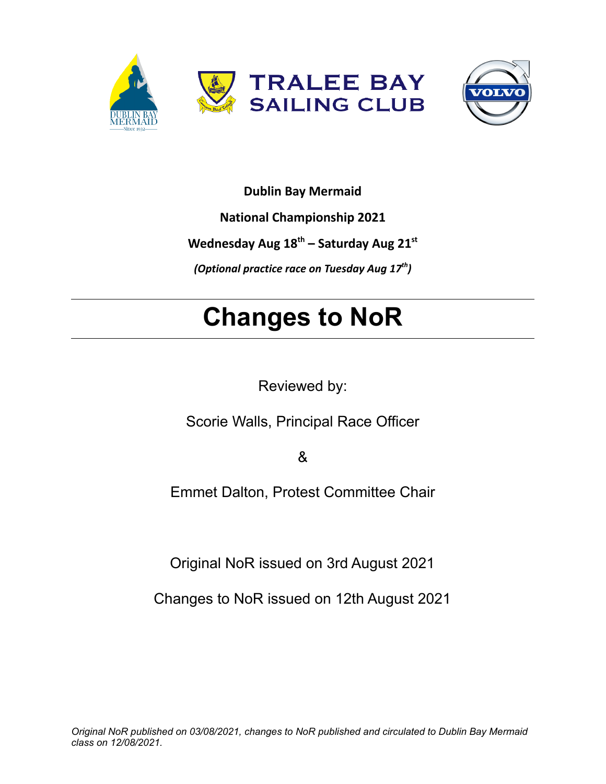



### **Dublin Bay Mermaid**

**National Championship 2021**

**Wednesday Aug 18 th – Saturday Aug 21 st**

*(Optional practice race on Tuesday Aug 17th )*

# **Changes to NoR**

Reviewed by:

Scorie Walls, Principal Race Officer

&

Emmet Dalton, Protest Committee Chair

Original NoR issued on 3rd August 2021

Changes to NoR issued on 12th August 2021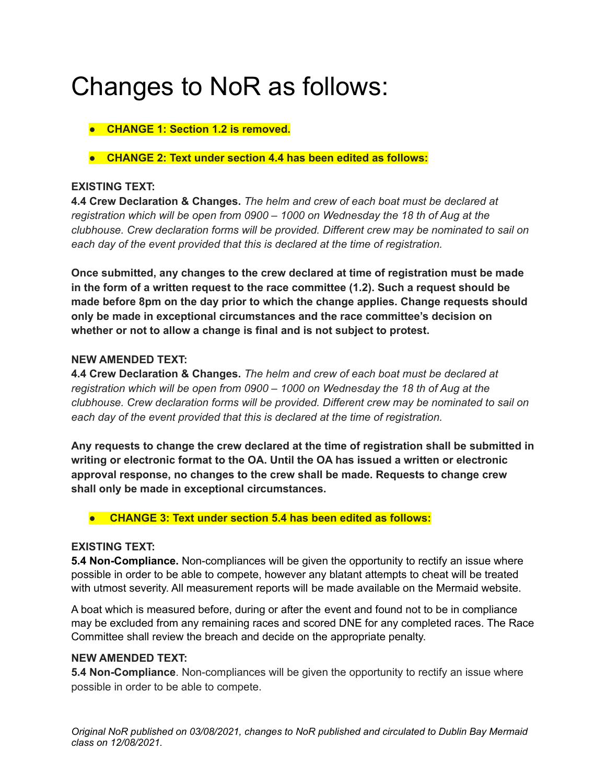# Changes to NoR as follows:

- **● CHANGE 1: Section 1.2 is removed.**
- **● CHANGE 2: Text under section 4.4 has been edited as follows:**

#### **EXISTING TEXT:**

**4.4 Crew Declaration & Changes.** *The helm and crew of each boat must be declared at registration which will be open from 0900 – 1000 on Wednesday the 18 th of Aug at the clubhouse. Crew declaration forms will be provided. Different crew may be nominated to sail on each day of the event provided that this is declared at the time of registration.*

**Once submitted, any changes to the crew declared at time of registration must be made in the form of a written request to the race committee (1.2). Such a request should be made before 8pm on the day prior to which the change applies. Change requests should only be made in exceptional circumstances and the race committee's decision on whether or not to allow a change is final and is not subject to protest.**

#### **NEW AMENDED TEXT:**

**4.4 Crew Declaration & Changes.** *The helm and crew of each boat must be declared at registration which will be open from 0900 – 1000 on Wednesday the 18 th of Aug at the clubhouse. Crew declaration forms will be provided. Different crew may be nominated to sail on each day of the event provided that this is declared at the time of registration.*

**Any requests to change the crew declared at the time of registration shall be submitted in writing or electronic format to the OA. Until the OA has issued a written or electronic approval response, no changes to the crew shall be made. Requests to change crew shall only be made in exceptional circumstances.**

#### ● **CHANGE 3: Text under section 5.4 has been edited as follows:**

#### **EXISTING TEXT:**

**5.4 Non-Compliance.** Non-compliances will be given the opportunity to rectify an issue where possible in order to be able to compete, however any blatant attempts to cheat will be treated with utmost severity. All measurement reports will be made available on the Mermaid website.

A boat which is measured before, during or after the event and found not to be in compliance may be excluded from any remaining races and scored DNE for any completed races. The Race Committee shall review the breach and decide on the appropriate penalty.

#### **NEW AMENDED TEXT:**

**5.4 Non-Compliance**. Non-compliances will be given the opportunity to rectify an issue where possible in order to be able to compete.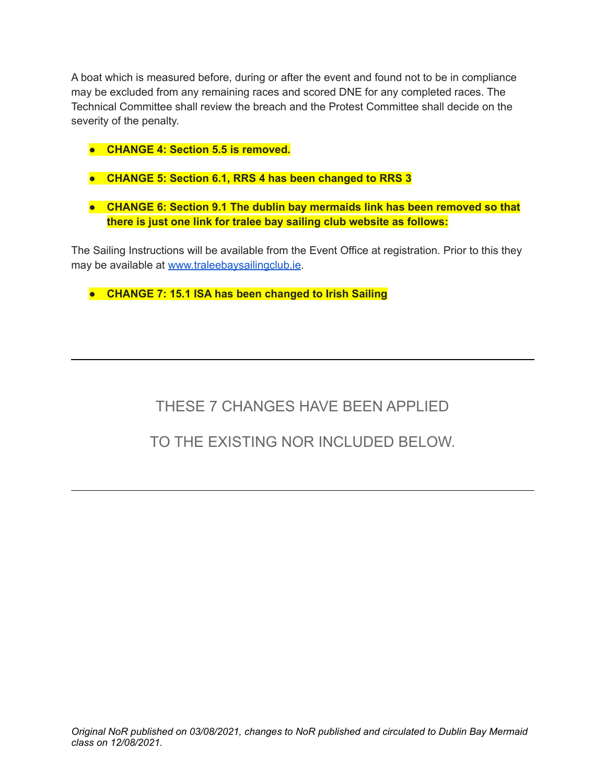A boat which is measured before, during or after the event and found not to be in compliance may be excluded from any remaining races and scored DNE for any completed races. The Technical Committee shall review the breach and the Protest Committee shall decide on the severity of the penalty.

- **● CHANGE 4: Section 5.5 is removed.**
- **● CHANGE 5: Section 6.1, RRS 4 has been changed to RRS 3**
- **● CHANGE 6: Section 9.1 The dublin bay mermaids link has been removed so that there is just one link for tralee bay sailing club website as follows:**

The Sailing Instructions will be available from the Event Office at registration. Prior to this they may be available at [www.traleebaysailingclub.ie](http://www.traleebaysailingclub.ie).

**● CHANGE 7: 15.1 ISA has been changed to Irish Sailing**

## THESE 7 CHANGES HAVE BEEN APPLIED

### TO THE EXISTING NOR INCLUDED BELOW.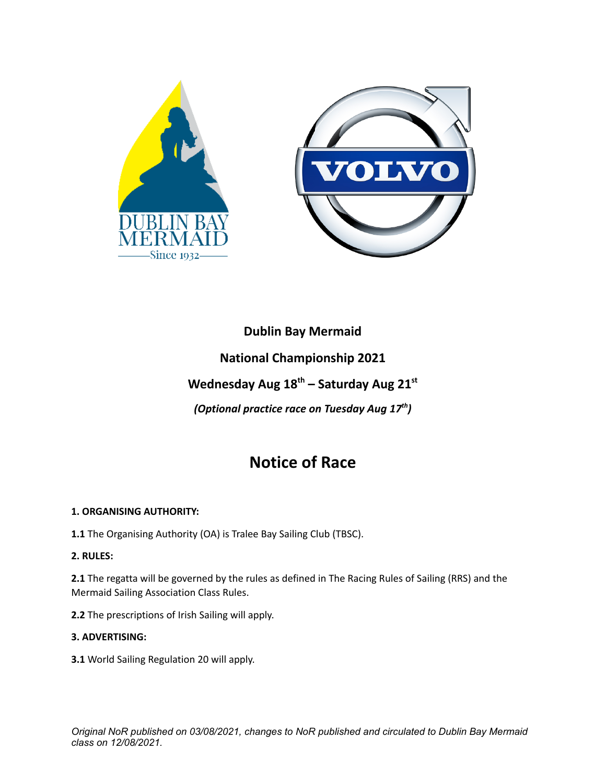

# **Dublin Bay Mermaid National Championship 2021 Wednesday Aug 18 th – Saturday Aug 21 st**

*(Optional practice race on Tuesday Aug 17th )*

## **Notice of Race**

#### **1. ORGANISING AUTHORITY:**

**1.1** The Organising Authority (OA) is Tralee Bay Sailing Club (TBSC).

#### **2. RULES:**

**2.1** The regatta will be governed by the rules as defined in The Racing Rules of Sailing (RRS) and the Mermaid Sailing Association Class Rules.

**2.2** The prescriptions of Irish Sailing will apply.

#### **3. ADVERTISING:**

**3.1** World Sailing Regulation 20 will apply.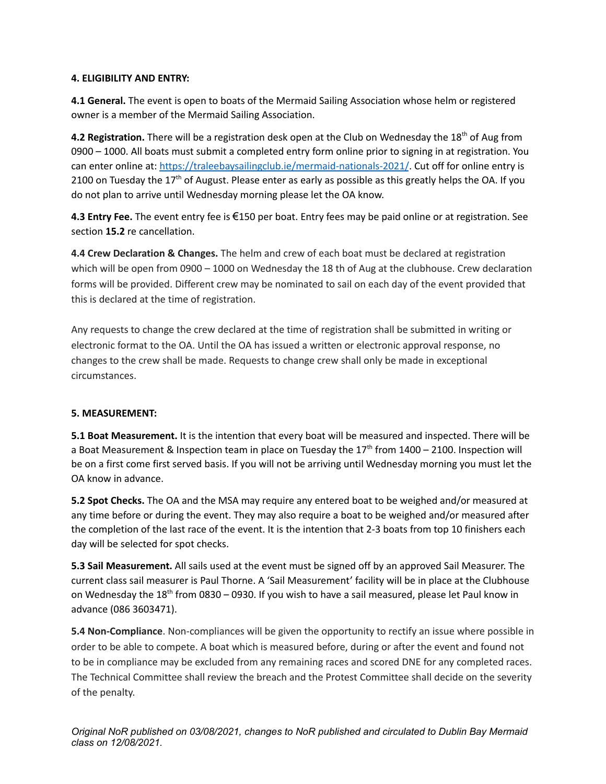#### **4. ELIGIBILITY AND ENTRY:**

**4.1 General.** The event is open to boats of the Mermaid Sailing Association whose helm or registered owner is a member of the Mermaid Sailing Association.

**4.2 Registration.** There will be a registration desk open at the Club on Wednesday the 18<sup>th</sup> of Aug from 0900 – 1000. All boats must submit a completed entry form online prior to signing in at registration. You can enter online at: <https://traleebaysailingclub.ie/mermaid-nationals-2021/>. Cut off for online entry is 2100 on Tuesday the 17<sup>th</sup> of August. Please enter as early as possible as this greatly helps the OA. If you do not plan to arrive until Wednesday morning please let the OA know.

**4.3 Entry Fee.** The event entry fee is €150 per boat. Entry fees may be paid online or at registration. See section **15.2** re cancellation.

**4.4 Crew Declaration & Changes.** The helm and crew of each boat must be declared at registration which will be open from 0900 – 1000 on Wednesday the 18 th of Aug at the clubhouse. Crew declaration forms will be provided. Different crew may be nominated to sail on each day of the event provided that this is declared at the time of registration.

Any requests to change the crew declared at the time of registration shall be submitted in writing or electronic format to the OA. Until the OA has issued a written or electronic approval response, no changes to the crew shall be made. Requests to change crew shall only be made in exceptional circumstances.

#### **5. MEASUREMENT:**

**5.1 Boat Measurement.** It is the intention that every boat will be measured and inspected. There will be a Boat Measurement & Inspection team in place on Tuesday the  $17<sup>th</sup>$  from 1400 – 2100. Inspection will be on a first come first served basis. If you will not be arriving until Wednesday morning you must let the OA know in advance.

**5.2 Spot Checks.** The OA and the MSA may require any entered boat to be weighed and/or measured at any time before or during the event. They may also require a boat to be weighed and/or measured after the completion of the last race of the event. It is the intention that 2-3 boats from top 10 finishers each day will be selected for spot checks.

**5.3 Sail Measurement.** All sails used at the event must be signed off by an approved Sail Measurer. The current class sail measurer is Paul Thorne. A 'Sail Measurement' facility will be in place at the Clubhouse on Wednesday the 18<sup>th</sup> from 0830 – 0930. If you wish to have a sail measured, please let Paul know in advance (086 3603471).

**5.4 Non-Compliance**. Non-compliances will be given the opportunity to rectify an issue where possible in order to be able to compete. A boat which is measured before, during or after the event and found not to be in compliance may be excluded from any remaining races and scored DNE for any completed races. The Technical Committee shall review the breach and the Protest Committee shall decide on the severity of the penalty.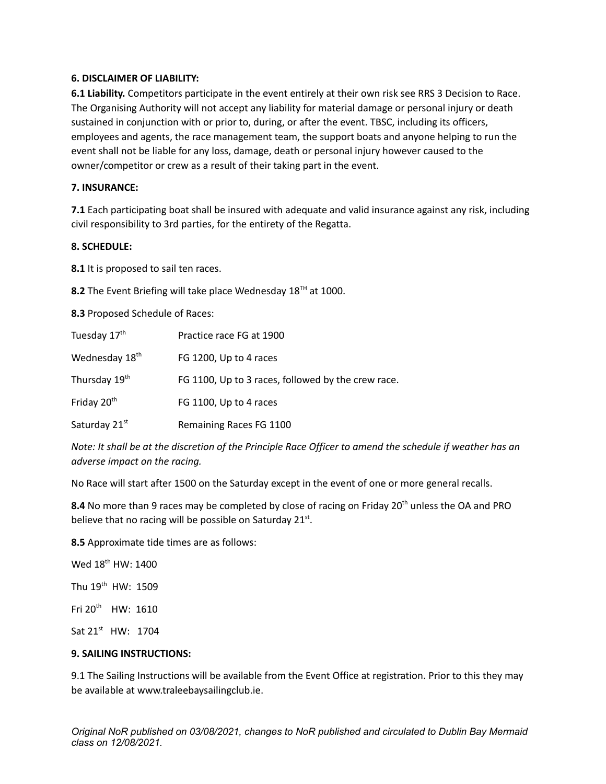#### **6. DISCLAIMER OF LIABILITY:**

**6.1 Liability.** Competitors participate in the event entirely at their own risk see RRS 3 Decision to Race. The Organising Authority will not accept any liability for material damage or personal injury or death sustained in conjunction with or prior to, during, or after the event. TBSC, including its officers, employees and agents, the race management team, the support boats and anyone helping to run the event shall not be liable for any loss, damage, death or personal injury however caused to the owner/competitor or crew as a result of their taking part in the event.

#### **7. INSURANCE:**

**7.1** Each participating boat shall be insured with adequate and valid insurance against any risk, including civil responsibility to 3rd parties, for the entirety of the Regatta.

#### **8. SCHEDULE:**

**8.1** It is proposed to sail ten races.

8.2 The Event Briefing will take place Wednesday 18<sup>TH</sup> at 1000.

**8.3** Proposed Schedule of Races:

| Tuesday 17 <sup>th</sup>   | Practice race FG at 1900                           |
|----------------------------|----------------------------------------------------|
| Wednesday 18 <sup>th</sup> | FG 1200, Up to 4 races                             |
| Thursday 19 <sup>th</sup>  | FG 1100, Up to 3 races, followed by the crew race. |
| Friday 20 <sup>th</sup>    | FG 1100, Up to 4 races                             |
| Saturday 21st              | Remaining Races FG 1100                            |

Note: It shall be at the discretion of the Principle Race Officer to amend the schedule if weather has an *adverse impact on the racing.*

No Race will start after 1500 on the Saturday except in the event of one or more general recalls.

8.4 No more than 9 races may be completed by close of racing on Friday 20<sup>th</sup> unless the OA and PRO believe that no racing will be possible on Saturday  $21^{st}$ .

**8.5** Approximate tide times are as follows:

Wed 18<sup>th</sup> HW: 1400 Thu 19<sup>th</sup> HW: 1509

Fri 20<sup>th</sup> HW: 1610

Sat 21<sup>st</sup> HW: 1704

#### **9. SAILING INSTRUCTIONS:**

9.1 The Sailing Instructions will be available from the Event Office at registration. Prior to this they may be available at www.traleebaysailingclub.ie.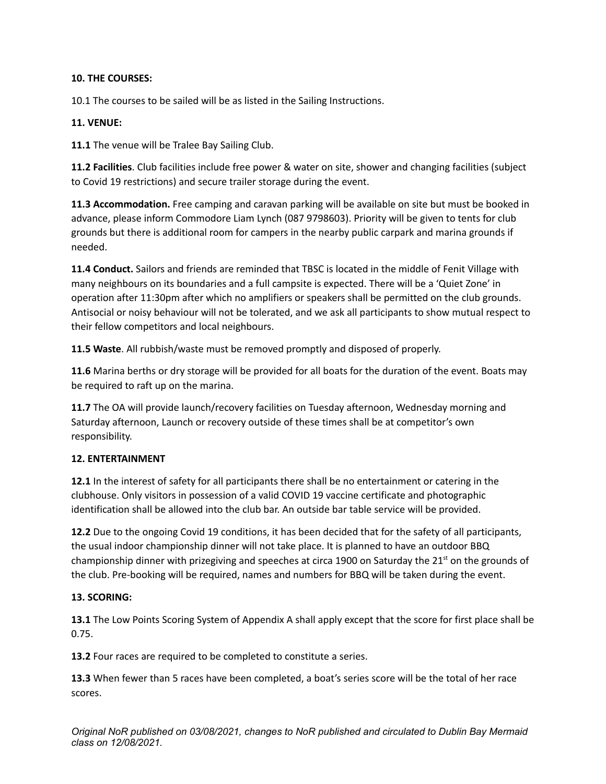#### **10. THE COURSES:**

10.1 The courses to be sailed will be as listed in the Sailing Instructions.

#### **11. VENUE:**

**11.1** The venue will be Tralee Bay Sailing Club.

**11.2 Facilities**. Club facilities include free power & water on site, shower and changing facilities (subject to Covid 19 restrictions) and secure trailer storage during the event.

**11.3 Accommodation.** Free camping and caravan parking will be available on site but must be booked in advance, please inform Commodore Liam Lynch (087 9798603). Priority will be given to tents for club grounds but there is additional room for campers in the nearby public carpark and marina grounds if needed.

**11.4 Conduct.** Sailors and friends are reminded that TBSC is located in the middle of Fenit Village with many neighbours on its boundaries and a full campsite is expected. There will be a 'Quiet Zone' in operation after 11:30pm after which no amplifiers or speakers shall be permitted on the club grounds. Antisocial or noisy behaviour will not be tolerated, and we ask all participants to show mutual respect to their fellow competitors and local neighbours.

**11.5 Waste**. All rubbish/waste must be removed promptly and disposed of properly.

**11.6** Marina berths or dry storage will be provided for all boats for the duration of the event. Boats may be required to raft up on the marina.

**11.7** The OA will provide launch/recovery facilities on Tuesday afternoon, Wednesday morning and Saturday afternoon, Launch or recovery outside of these times shall be at competitor's own responsibility.

#### **12. ENTERTAINMENT**

**12.1** In the interest of safety for all participants there shall be no entertainment or catering in the clubhouse. Only visitors in possession of a valid COVID 19 vaccine certificate and photographic identification shall be allowed into the club bar. An outside bar table service will be provided.

**12.2** Due to the ongoing Covid 19 conditions, it has been decided that for the safety of all participants, the usual indoor championship dinner will not take place. It is planned to have an outdoor BBQ championship dinner with prizegiving and speeches at circa 1900 on Saturday the 21<sup>st</sup> on the grounds of the club. Pre-booking will be required, names and numbers for BBQ will be taken during the event.

#### **13. SCORING:**

**13.1** The Low Points Scoring System of Appendix A shall apply except that the score for first place shall be 0.75.

**13.2** Four races are required to be completed to constitute a series.

**13.3** When fewer than 5 races have been completed, a boat's series score will be the total of her race scores.

*Original NoR published on 03/08/2021, changes to NoR published and circulated to Dublin Bay Mermaid class on 12/08/2021.*